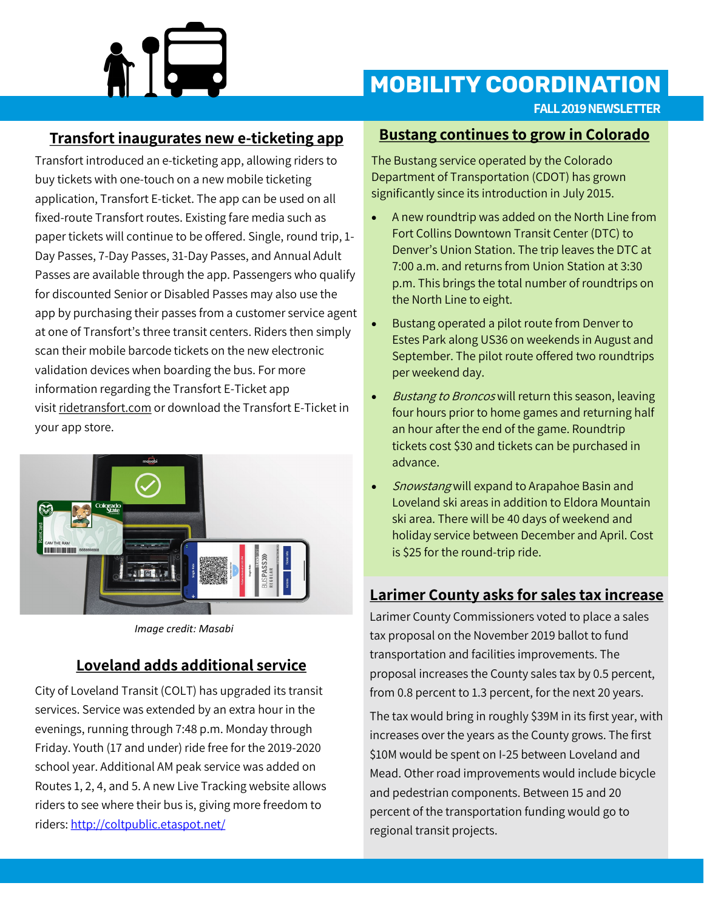

## **MOBILITY COORDINATION**

**FALL 2019 NEWSLETTER**

### **Transfort inaugurates new e-ticketing app**

Transfort introduced an e-ticketing app, allowing riders to buy tickets with one-touch on a new mobile ticketing application, Transfort E-ticket. The app can be used on all fixed-route Transfort routes. Existing fare media such as paper tickets will continue to be offered. Single, round trip, 1- Day Passes, 7-Day Passes, 31-Day Passes, and Annual Adult Passes are available through the app. Passengers who qualify for discounted Senior or Disabled Passes may also use the app by purchasing their passes from a customer service agent at one of Transfort's three transit centers. Riders then simply scan their mobile barcode tickets on the new electronic validation devices when boarding the bus. For more information regarding the Transfort E-Ticket app visit [ridetransfort.com](http://www.ridetransfort.com/) or download the Transfort E-Ticket in your app store.



*Image credit: Masabi*

## **Loveland adds additional service**

City of Loveland Transit (COLT) has upgraded its transit services. Service was extended by an extra hour in the evenings, running through 7:48 p.m. Monday through Friday. Youth (17 and under) ride free for the 2019-2020 school year. Additional AM peak service was added on Routes 1, 2, 4, and 5. A new Live Tracking website allows riders to see where their bus is, giving more freedom to riders: <http://coltpublic.etaspot.net/>

#### **Bustang continues to grow in Colorado**

The Bustang service operated by the Colorado Department of Transportation (CDOT) has grown significantly since its introduction in July 2015.

- A new roundtrip was added on the North Line from Fort Collins Downtown Transit Center (DTC) to Denver's Union Station. The trip leaves the DTC at 7:00 a.m. and returns from Union Station at 3:30 p.m. This brings the total number of roundtrips on the North Line to eight.
- Bustang operated a pilot route from Denver to Estes Park along US36 on weekends in August and September. The pilot route offered two roundtrips per weekend day.
- Bustang to Broncos will return this season, leaving four hours prior to home games and returning half an hour after the end of the game. Roundtrip tickets cost \$30 and tickets can be purchased in advance.
- Snowstang will expand to Arapahoe Basin and Loveland ski areas in addition to Eldora Mountain ski area. There will be 40 days of weekend and holiday service between December and April. Cost is \$25 for the round-trip ride.

#### **Larimer County asks for sales tax increase**

Larimer County Commissioners voted to place a sales tax proposal on the November 2019 ballot to fund transportation and facilities improvements. The proposal increases the County sales tax by 0.5 percent, from 0.8 percent to 1.3 percent, for the next 20 years.

The tax would bring in roughly \$39M in its first year, with increases over the years as the County grows. The first \$10M would be spent on I-25 between Loveland and Mead. Other road improvements would include bicycle and pedestrian components. Between 15 and 20 percent of the transportation funding would go to regional transit projects.